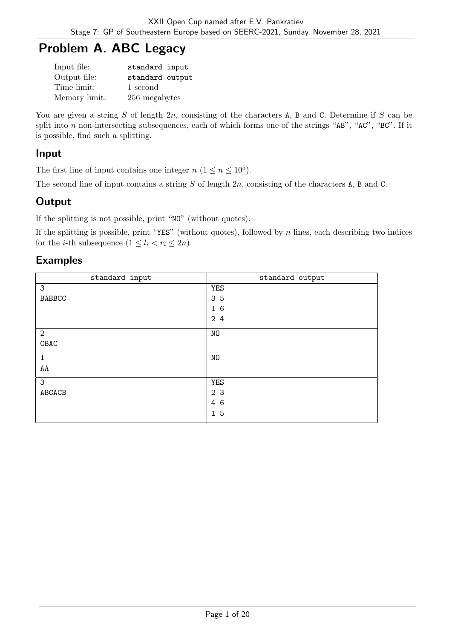# Problem A. ABC Legacy

| Input file:   | standard input  |
|---------------|-----------------|
| Output file:  | standard output |
| Time limit:   | 1 second        |
| Memory limit: | 256 megabytes   |

You are given a string  $S$  of length  $2n$ , consisting of the characters A, B and C. Determine if  $S$  can be split into  $n$  non-intersecting subsequences, each of which forms one of the strings "AB", "AC", "BC". If it is possible, find such a splitting.

## Input

The first line of input contains one integer  $n (1 \le n \le 10^5)$ .

The second line of input contains a string  $S$  of length  $2n$ , consisting of the characters A, B and C.

# **Output**

If the splitting is not possible, print "NO" (without quotes).

If the splitting is possible, print "YES" (without quotes), followed by  $n$  lines, each describing two indices for the *i*-th subsequence  $(1 \leq l_i < r_i \leq 2n)$ .

## Examples

| standard input | standard output |
|----------------|-----------------|
| 3              | <b>YES</b>      |
| <b>BABBCC</b>  | 35              |
|                | 16              |
|                | 24              |
| $\overline{2}$ | NO              |
| ${\tt CBAC}$   |                 |
| $\mathbf{1}$   | NO              |
| AA             |                 |
| 3              | YES             |
| ABCACB         | 2 3             |
|                | 4 6             |
|                | 15              |
|                |                 |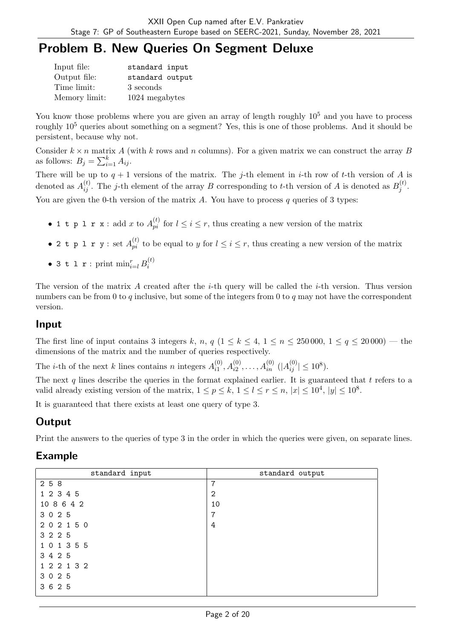# Problem B. New Queries On Segment Deluxe

| Input file:   | standard input  |
|---------------|-----------------|
| Output file:  | standard output |
| Time limit:   | 3 seconds       |
| Memory limit: | 1024 megabytes  |

You know those problems where you are given an array of length roughly  $10<sup>5</sup>$  and you have to process roughly 10<sup>5</sup> queries about something on a segment? Yes, this is one of those problems. And it should be persistent, because why not.

Consider  $k \times n$  matrix A (with k rows and n columns). For a given matrix we can construct the array B as follows:  $B_j = \sum_{i=1}^k A_{ij}$ .

There will be up to  $q + 1$  versions of the matrix. The j-th element in i-th row of t-th version of A is denoted as  $A_{ij}^{(t)}$ . The j-th element of the array B corresponding to t-th version of A is denoted as  $B_j^{(t)}$  $\frac{j^{(\iota)}}{j}$ . You are given the 0-th version of the matrix  $A$ . You have to process  $q$  queries of 3 types:

- 1 t p 1 r x : add x to  $A_{pi}^{(t)}$  for  $l \leq i \leq r$ , thus creating a new version of the matrix
- 2 t p 1 r y : set  $A_{pi}^{(t)}$  to be equal to y for  $l \leq i \leq r$ , thus creating a new version of the matrix
- 3 t l r : print  $\min_{i=l}^r B_i^{(t)}$ i

The version of the matrix  $A$  created after the *i*-th query will be called the *i*-th version. Thus version numbers can be from 0 to  $q$  inclusive, but some of the integers from 0 to  $q$  may not have the correspondent version.

### Input

The first line of input contains 3 integers k, n, q  $(1 \le k \le 4, 1 \le n \le 250000, 1 \le q \le 20000)$  — the dimensions of the matrix and the number of queries respectively.

The *i*-th of the next *k* lines contains *n* integers  $A_{i1}^{(0)}$  $\lambda_{i1}^{(0)}, A_{i2}^{(0)}, \ldots, A_{in}^{(0)}$   $(|A_{ij}^{(0)}| \le 10^8)$ .

The next q lines describe the queries in the format explained earlier. It is guaranteed that  $t$  refers to a valid already existing version of the matrix,  $1 \le p \le k$ ,  $1 \le l \le r \le n$ ,  $|x| \le 10^4$ ,  $|y| \le 10^8$ .

It is guaranteed that there exists at least one query of type 3.

# **Output**

Print the answers to the queries of type 3 in the order in which the queries were given, on separate lines.

## Example

| standard input | standard output |
|----------------|-----------------|
| 2 5 8          | 7               |
| 1 2 3 4 5      | $\overline{2}$  |
| 10 8 6 4 2     | 10              |
| 3 0 2 5        | $\overline{7}$  |
| 202150         | 4               |
| 3 2 2 5        |                 |
| 1 0 1 3 5 5    |                 |
| 3 4 2 5        |                 |
| 1 2 2 1 3 2    |                 |
| 3 0 2 5        |                 |
| 3 6 2 5        |                 |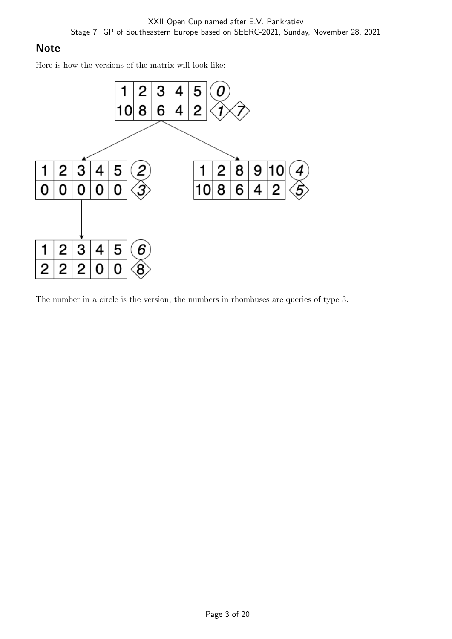## **Note**

Here is how the versions of the matrix will look like:



The number in a circle is the version, the numbers in rhombuses are queries of type 3.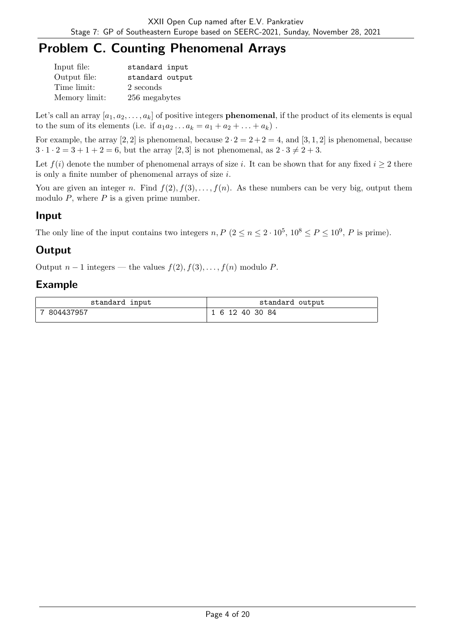# Problem C. Counting Phenomenal Arrays

| Input file:   | standard input  |
|---------------|-----------------|
| Output file:  | standard output |
| Time limit:   | 2 seconds       |
| Memory limit: | 256 megabytes   |

Let's call an array  $[a_1, a_2, \ldots, a_k]$  of positive integers **phenomenal**, if the product of its elements is equal to the sum of its elements (i.e. if  $a_1 a_2 \dots a_k = a_1 + a_2 + \dots + a_k$ ).

For example, the array [2, 2] is phenomenal, because  $2 \cdot 2 = 2 + 2 = 4$ , and [3, 1, 2] is phenomenal, because  $3 \cdot 1 \cdot 2 = 3 + 1 + 2 = 6$ , but the array [2, 3] is not phenomenal, as  $2 \cdot 3 \neq 2 + 3$ .

Let  $f(i)$  denote the number of phenomenal arrays of size i. It can be shown that for any fixed  $i \geq 2$  there is only a finite number of phenomenal arrays of size  $i$ .

You are given an integer n. Find  $f(2), f(3), \ldots, f(n)$ . As these numbers can be very big, output them modulo  $P$ , where  $P$  is a given prime number.

## Input

The only line of the input contains two integers  $n, P$   $(2 \le n \le 2 \cdot 10^5, 10^8 \le P \le 10^9, P$  is prime).

# **Output**

Output  $n-1$  integers — the values  $f(2), f(3), \ldots, f(n)$  modulo P.

### Example

| standard input | standard output |
|----------------|-----------------|
| 804437957      | 6 12 40 30 84   |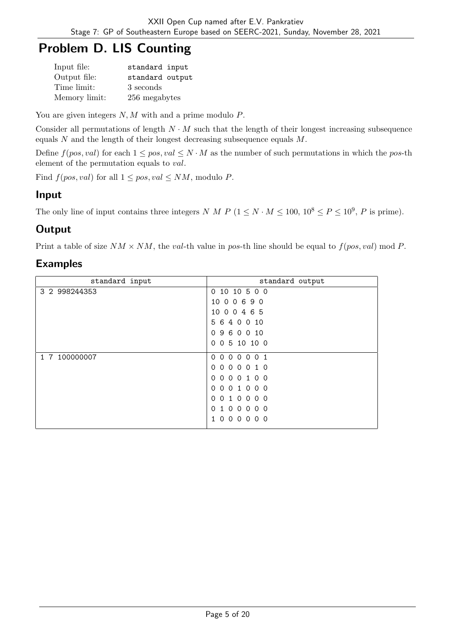# Problem D. LIS Counting

| Input file:   | standard input  |
|---------------|-----------------|
| Output file:  | standard output |
| Time limit:   | 3 seconds       |
| Memory limit: | 256 megabytes   |

You are given integers  $N, M$  with and a prime modulo  $P$ .

Consider all permutations of length  $N \cdot M$  such that the length of their longest increasing subsequence equals  $N$  and the length of their longest decreasing subsequence equals  $M$ .

Define  $f(pos, val)$  for each  $1 \le pos, val \le N \cdot M$  as the number of such permutations in which the pos-th element of the permutation equals to *val*.

Find  $f(pos, val)$  for all  $1 \le pos, val \le NM$ , modulo P.

## Input

The only line of input contains three integers N M P  $(1 \le N \cdot M \le 100, 10^8 \le P \le 10^9, P$  is prime).

# **Output**

Print a table of size  $NM \times NM$ , the val-th value in pos-th line should be equal to  $f(pos, val) \mod P$ .

### Examples

| standard input | standard output                                                            |
|----------------|----------------------------------------------------------------------------|
| 3 2 998244353  | 0 10 10 5 0 0                                                              |
|                | 00690<br>10                                                                |
|                | 10 0 0 4 6 5                                                               |
|                | 5<br>640010                                                                |
|                | 9 6 0 0 10<br>$\Omega$                                                     |
|                | 0 5 10 10 0<br>$\Omega$                                                    |
| 1 7 100000007  | 0 <sub>0</sub><br>$\Omega$<br>$\Omega$<br>0 <sub>1</sub><br>$\overline{0}$ |
|                | 000010<br>$\Omega$                                                         |
|                | $\Omega$<br>1 0 0<br>$\Omega$<br>$\Omega$<br>$\Omega$                      |
|                | 001000<br>$\Omega$                                                         |
|                | 010000<br>$\Omega$                                                         |
|                | 100000<br>$\Omega$                                                         |
|                | $\Omega$<br>$\overline{0}$<br>0 <sub>0</sub><br>0 <sub>0</sub>             |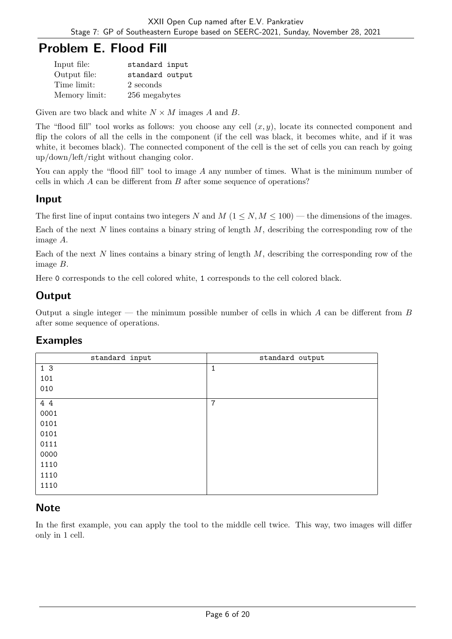# Problem E. Flood Fill

| Input file:   | standard input  |
|---------------|-----------------|
| Output file:  | standard output |
| Time limit:   | 2 seconds       |
| Memory limit: | 256 megabytes   |

Given are two black and white  $N \times M$  images A and B.

The "flood fill" tool works as follows: you choose any cell  $(x, y)$ , locate its connected component and flip the colors of all the cells in the component (if the cell was black, it becomes white, and if it was white, it becomes black). The connected component of the cell is the set of cells you can reach by going up/down/left/right without changing color.

You can apply the "flood fill" tool to image  $A$  any number of times. What is the minimum number of cells in which  $A$  can be different from  $B$  after some sequence of operations?

### Input

The first line of input contains two integers N and  $M$  ( $1 \le N, M \le 100$ ) — the dimensions of the images.

Each of the next  $N$  lines contains a binary string of length  $M$ , describing the corresponding row of the image  $A$ .

Each of the next  $N$  lines contains a binary string of length  $M$ , describing the corresponding row of the image  $B$ .

Here 0 corresponds to the cell colored white, 1 corresponds to the cell colored black.

# **Output**

Output a single integer — the minimum possible number of cells in which  $A$  can be different from  $B$ after some sequence of operations.

#### Examples

| standard input | standard output |
|----------------|-----------------|
| 1 <sub>3</sub> | 1               |
| 101            |                 |
| 010            |                 |
| 4 4            | $\overline{7}$  |
| 0001           |                 |
| 0101           |                 |
| 0101           |                 |
| 0111           |                 |
| 0000           |                 |
| 1110           |                 |
| 1110           |                 |
| 1110           |                 |

## **Note**

In the first example, you can apply the tool to the middle cell twice. This way, two images will differ only in 1 cell.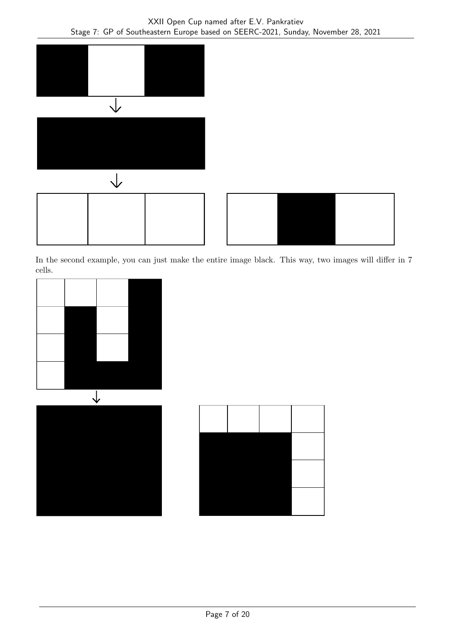

In the second example, you can just make the entire image black. This way, two images will differ in 7 cells.



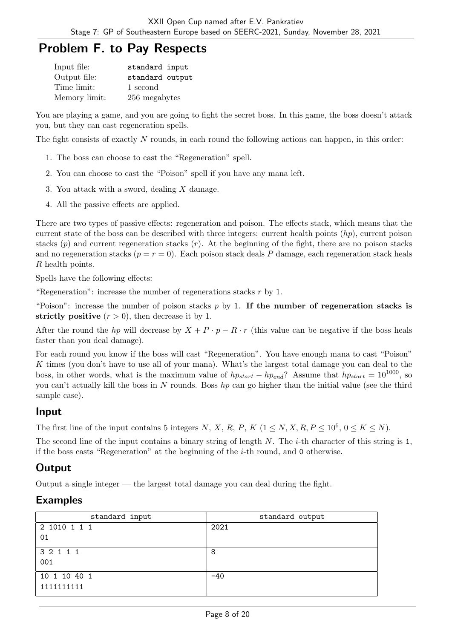# Problem F. to Pay Respects

| Input file:   | standard input  |
|---------------|-----------------|
| Output file:  | standard output |
| Time limit:   | 1 second        |
| Memory limit: | 256 megabytes   |

You are playing a game, and you are going to fight the secret boss. In this game, the boss doesn't attack you, but they can cast regeneration spells.

The fight consists of exactly  $N$  rounds, in each round the following actions can happen, in this order:

- 1. The boss can choose to cast the "Regeneration" spell.
- 2. You can choose to cast the "Poison" spell if you have any mana left.
- 3. You attack with a sword, dealing  $X$  damage.
- 4. All the passive effects are applied.

There are two types of passive effects: regeneration and poison. The effects stack, which means that the current state of the boss can be described with three integers: current health points  $(hp)$ , current poison stacks  $(p)$  and current regeneration stacks  $(r)$ . At the beginning of the fight, there are no poison stacks and no regeneration stacks  $(p = r = 0)$ . Each poison stack deals P damage, each regeneration stack heals  $R$  health points.

Spells have the following effects:

"Regeneration": increase the number of regenerations stacks  $r$  by 1.

"Poison": increase the number of poison stacks  $p$  by 1. If the number of regeneration stacks is strictly positive  $(r > 0)$ , then decrease it by 1.

After the round the hp will decrease by  $X + P \cdot p - R \cdot r$  (this value can be negative if the boss heals faster than you deal damage).

For each round you know if the boss will cast "Regeneration". You have enough mana to cast "Poison" K times (you don't have to use all of your mana). What's the largest total damage you can deal to the boss, in other words, what is the maximum value of  $hp_{start} - hp_{end}$ ? Assume that  $hp_{start} = 10^{1000}$ , so you can't actually kill the boss in N rounds. Boss  $hp$  can go higher than the initial value (see the third sample case).

#### Input

The first line of the input contains 5 integers N, X, R, P, K  $(1 \le N, X, R, P \le 10^6, 0 \le K \le N)$ .

The second line of the input contains a binary string of length  $N$ . The *i*-th character of this string is 1, if the boss casts "Regeneration" at the beginning of the  $i$ -th round, and 0 otherwise.

# **Output**

Output a single integer — the largest total damage you can deal during the fight.

#### Examples

| standard input | standard output |
|----------------|-----------------|
| 2 1010 1 1 1   | 2021            |
| 01             |                 |
| 3 2 1 1 1      | 8               |
| 001            |                 |
| 10 1 10 40 1   | $-40$           |
| 1111111111     |                 |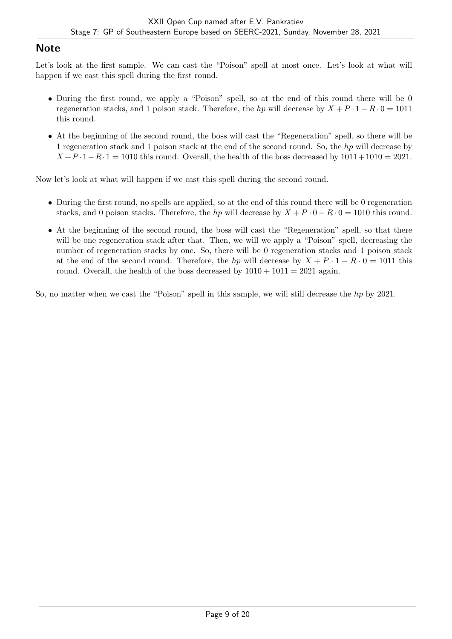### **Note**

Let's look at the first sample. We can cast the "Poison" spell at most once. Let's look at what will happen if we cast this spell during the first round.

- During the first round, we apply a "Poison" spell, so at the end of this round there will be 0 regeneration stacks, and 1 poison stack. Therefore, the hp will decrease by  $X + P \cdot 1 - R \cdot 0 = 1011$ this round.
- At the beginning of the second round, the boss will cast the "Regeneration" spell, so there will be 1 regeneration stack and 1 poison stack at the end of the second round. So, the h<sub>p</sub> will decrease by  $X + P \cdot 1 - R \cdot 1 = 1010$  this round. Overall, the health of the boss decreased by  $1011 + 1010 = 2021$ .

Now let's look at what will happen if we cast this spell during the second round.

- During the first round, no spells are applied, so at the end of this round there will be 0 regeneration stacks, and 0 poison stacks. Therefore, the hp will decrease by  $X + P \cdot 0 - R \cdot 0 = 1010$  this round.
- At the beginning of the second round, the boss will cast the "Regeneration" spell, so that there will be one regeneration stack after that. Then, we will we apply a "Poison" spell, decreasing the number of regeneration stacks by one. So, there will be 0 regeneration stacks and 1 poison stack at the end of the second round. Therefore, the hp will decrease by  $X + P \cdot 1 - R \cdot 0 = 1011$  this round. Overall, the health of the boss decreased by  $1010 + 1011 = 2021$  again.

So, no matter when we cast the "Poison" spell in this sample, we will still decrease the  $hp$  by 2021.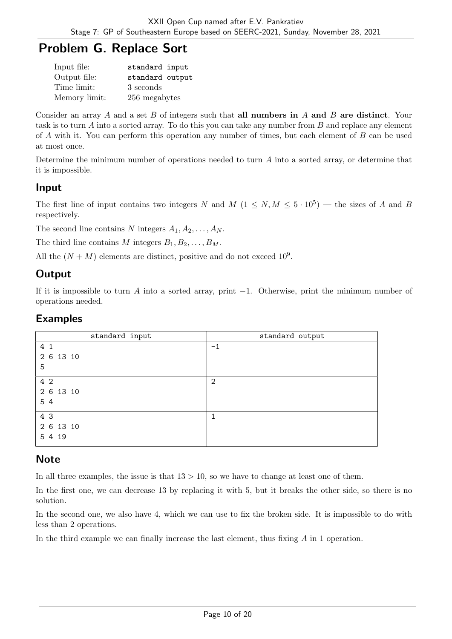# Problem G. Replace Sort

| Input file:   | standard input  |
|---------------|-----------------|
| Output file:  | standard output |
| Time limit:   | 3 seconds       |
| Memory limit: | 256 megabytes   |

Consider an array A and a set  $B$  of integers such that all numbers in A and  $B$  are distinct. Your task is to turn  $A$  into a sorted array. To do this you can take any number from  $B$  and replace any element of  $\tilde{A}$  with it. You can perform this operation any number of times, but each element of  $\tilde{B}$  can be used at most once.

Determine the minimum number of operations needed to turn  $A$  into a sorted array, or determine that it is impossible.

#### Input

The first line of input contains two integers N and  $M$   $(1 \le N, M \le 5 \cdot 10^5)$  — the sizes of A and B respectively.

The second line contains N integers  $A_1, A_2, \ldots, A_N$ .

The third line contains M integers  $B_1, B_2, \ldots, B_M$ .

All the  $(N + M)$  elements are distinct, positive and do not exceed  $10^9$ .

## **Output**

If it is impossible to turn A into a sorted array, print  $-1$ . Otherwise, print the minimum number of operations needed.

#### Examples

| standard input | standard output |
|----------------|-----------------|
| 4 1            | $-1$            |
| 2 6 13 10      |                 |
| 5              |                 |
| 4 2            | $\overline{2}$  |
| 2 6 13 10      |                 |
| 54             |                 |
| 4 3            | 1               |
| 2 6 13 10      |                 |
| 5 4 19         |                 |

## **Note**

In all three examples, the issue is that  $13 > 10$ , so we have to change at least one of them.

In the first one, we can decrease 13 by replacing it with 5, but it breaks the other side, so there is no solution.

In the second one, we also have 4, which we can use to fix the broken side. It is impossible to do with less than 2 operations.

In the third example we can finally increase the last element, thus fixing  $\tilde{A}$  in 1 operation.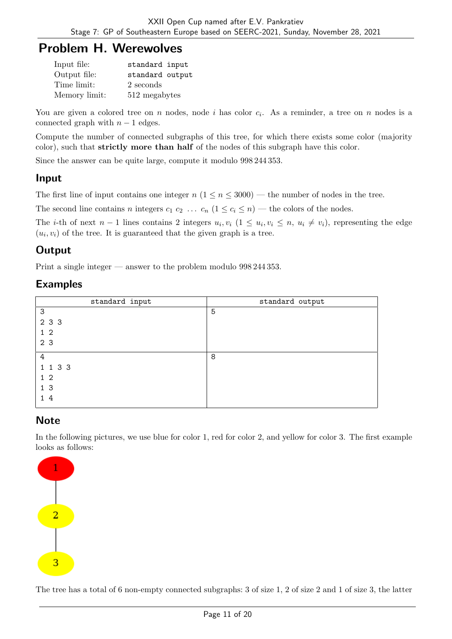# Problem H. Werewolves

| Input file:   | standard input  |
|---------------|-----------------|
| Output file:  | standard output |
| Time limit:   | 2 seconds       |
| Memory limit: | 512 megabytes   |

You are given a colored tree on  $n$  nodes, node  $i$  has color  $c_i$ . As a reminder, a tree on  $n$  nodes is a connected graph with  $n-1$  edges.

Compute the number of connected subgraphs of this tree, for which there exists some color (majority color), such that strictly more than half of the nodes of this subgraph have this color.

Since the answer can be quite large, compute it modulo 998 244 353.

## Input

The first line of input contains one integer  $n (1 \le n \le 3000)$  — the number of nodes in the tree.

The second line contains *n* integers  $c_1$   $c_2$  ...  $c_n$   $(1 \le c_i \le n)$  — the colors of the nodes.

The *i*-th of next  $n-1$  lines contains 2 integers  $u_i, v_i$   $(1 \le u_i, v_i \le n, u_i \ne v_i)$ , representing the edge  $(u_i, v_i)$  of the tree. It is guaranteed that the given graph is a tree.

# **Output**

Print a single integer — answer to the problem modulo 998 244 353.

## Examples

| standard input | standard output |
|----------------|-----------------|
| 3              | 5               |
| 2 3 3          |                 |
| $1\quad2$      |                 |
| 2 3            |                 |
| 4              | 8               |
| 1 1 3 3        |                 |
| $1\quad2$      |                 |
| 1 <sub>3</sub> |                 |
| 14             |                 |

# **Note**

In the following pictures, we use blue for color 1, red for color 2, and yellow for color 3. The first example looks as follows:



The tree has a total of 6 non-empty connected subgraphs: 3 of size 1, 2 of size 2 and 1 of size 3, the latter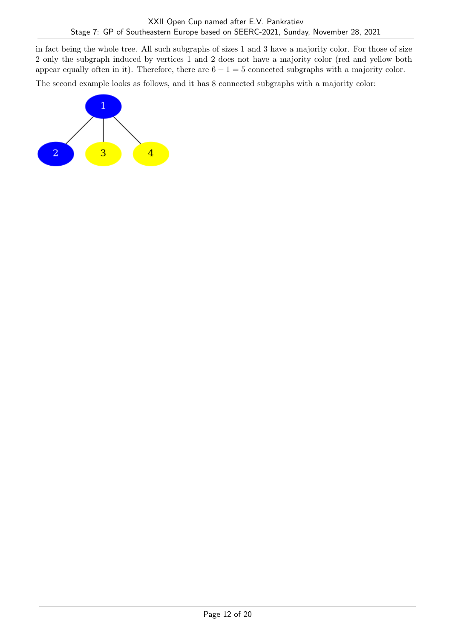in fact being the whole tree. All such subgraphs of sizes 1 and 3 have a majority color. For those of size 2 only the subgraph induced by vertices 1 and 2 does not have a majority color (red and yellow both appear equally often in it). Therefore, there are  $6 - 1 = 5$  connected subgraphs with a majority color.

The second example looks as follows, and it has 8 connected subgraphs with a majority color:

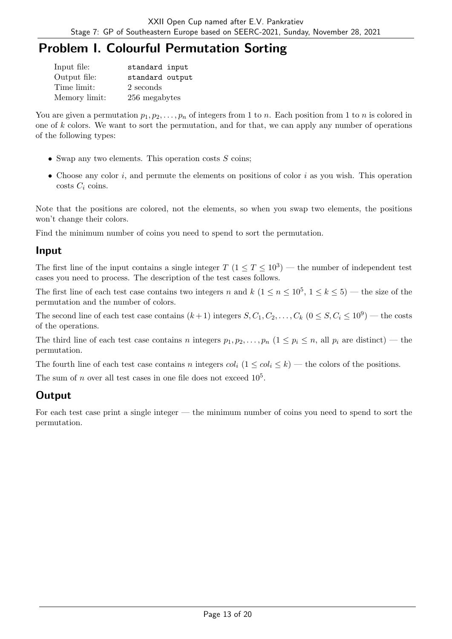# Problem I. Colourful Permutation Sorting

| Input file:   | standard input  |
|---------------|-----------------|
| Output file:  | standard output |
| Time limit:   | 2 seconds       |
| Memory limit: | 256 megabytes   |

You are given a permutation  $p_1, p_2, \ldots, p_n$  of integers from 1 to *n*. Each position from 1 to *n* is colored in one of  $k$  colors. We want to sort the permutation, and for that, we can apply any number of operations of the following types:

- Swap any two elements. This operation costs  $S$  coins;
- Choose any color  $i$ , and permute the elements on positions of color  $i$  as you wish. This operation costs  $C_i$  coins.

Note that the positions are colored, not the elements, so when you swap two elements, the positions won't change their colors.

Find the minimum number of coins you need to spend to sort the permutation.

#### Input

The first line of the input contains a single integer  $T$   $(1 \le T \le 10^3)$  — the number of independent test cases you need to process. The description of the test cases follows.

The first line of each test case contains two integers n and  $k$   $(1 \le n \le 10^5, 1 \le k \le 5)$  — the size of the permutation and the number of colors.

The second line of each test case contains  $(k+1)$  integers  $S, C_1, C_2, \ldots, C_k$   $(0 \leq S, C_i \leq 10^9)$  — the costs of the operations.

The third line of each test case contains *n* integers  $p_1, p_2, \ldots, p_n$   $(1 \leq p_i \leq n,$  all  $p_i$  are distinct) — the permutation.

The fourth line of each test case contains *n* integers  $col_i$   $(1 \leq col_i \leq k)$  — the colors of the positions.

The sum of  $n$  over all test cases in one file does not exceed  $10^5$ .

# **Output**

For each test case print a single integer — the minimum number of coins you need to spend to sort the permutation.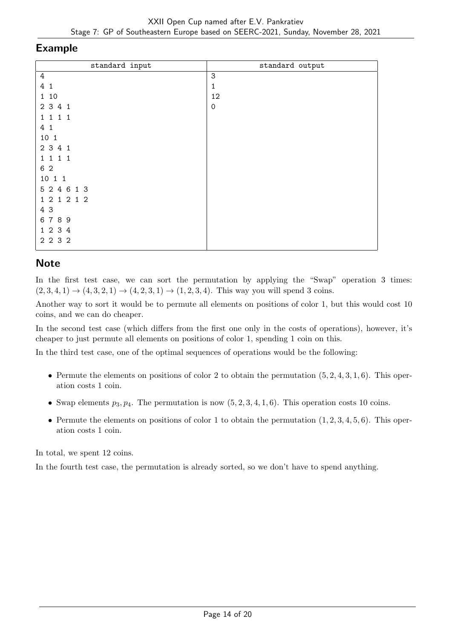#### Example

| standard input | standard output           |
|----------------|---------------------------|
| $\overline{4}$ | $\ensuremath{\mathsf{3}}$ |
| 4 1            | 1                         |
| 1 10           | 12                        |
| 2 3 4 1        | $\mathsf{O}\xspace$       |
| 1 1 1 1        |                           |
| 4 1            |                           |
| 10 1           |                           |
| 2 3 4 1        |                           |
| 1 1 1 1        |                           |
| 6 2            |                           |
| 10 1 1         |                           |
| 5 2 4 6 1 3    |                           |
| 1 2 1 2 1 2    |                           |
| 4 3            |                           |
| 6789           |                           |
| 1 2 3 4        |                           |
| 2 2 3 2        |                           |

# **Note**

In the first test case, we can sort the permutation by applying the "Swap" operation 3 times:  $(2, 3, 4, 1) \rightarrow (4, 3, 2, 1) \rightarrow (4, 2, 3, 1) \rightarrow (1, 2, 3, 4)$ . This way you will spend 3 coins.

Another way to sort it would be to permute all elements on positions of color 1, but this would cost 10 coins, and we can do cheaper.

In the second test case (which differs from the first one only in the costs of operations), however, it's cheaper to just permute all elements on positions of color 1, spending 1 coin on this.

In the third test case, one of the optimal sequences of operations would be the following:

- Permute the elements on positions of color 2 to obtain the permutation  $(5, 2, 4, 3, 1, 6)$ . This operation costs 1 coin.
- Swap elements  $p_3, p_4$ . The permutation is now  $(5, 2, 3, 4, 1, 6)$ . This operation costs 10 coins.
- Permute the elements on positions of color 1 to obtain the permutation  $(1, 2, 3, 4, 5, 6)$ . This operation costs 1 coin.

In total, we spent 12 coins.

In the fourth test case, the permutation is already sorted, so we don't have to spend anything.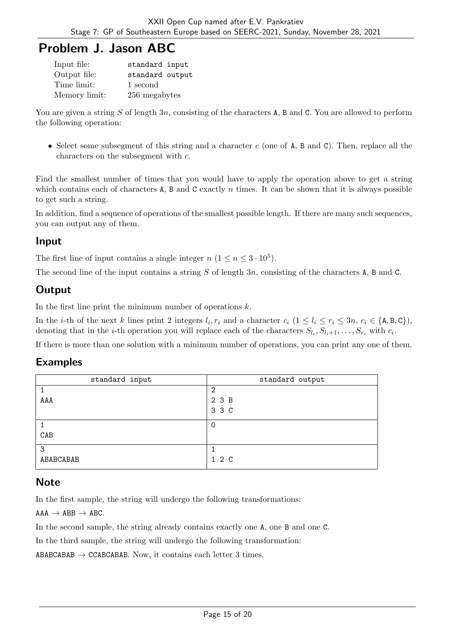# Problem J. Jason ABC

| Input file:   | standard input  |
|---------------|-----------------|
| Output file:  | standard output |
| Time limit:   | 1 second        |
| Memory limit: | 256 megabytes   |

You are given a string S of length 3n, consisting of the characters A, B and C. You are allowed to perform the following operation:

• Select some subsegment of this string and a character  $c$  (one of A, B and C). Then, replace all the characters on the subsegment with  $c$ .

Find the smallest number of times that you would have to apply the operation above to get a string which contains each of characters A, B and C exactly  $n$  times. It can be shown that it is always possible to get such a string.

In addition, find a sequence of operations of the smallest possible length. If there are many such sequences, you can output any of them.

#### Input

The first line of input contains a single integer  $n (1 \le n \le 3 \cdot 10^5)$ .

The second line of the input contains a string  $S$  of length  $3n$ , consisting of the characters A, B and C.

## **Output**

In the first line print the minimum number of operations  $k$ .

In the *i*-th of the next *k* lines print 2 integers  $l_i, r_i$  and a character  $c_i$   $(1 \leq l_i \leq r_i \leq 3n, c_i \in \{A, B, C\})$ , denoting that in the *i*-th operation you will replace each of the characters  $S_{l_i}, S_{l_i+1}, \ldots, S_{r_i}$  with  $c_i$ .

If there is more than one solution with a minimum number of operations, you can print any one of them.

#### Examples

| standard input | standard output |
|----------------|-----------------|
|                | റ               |
| AAA            | 2 3 B           |
|                | 3 3 C           |
|                |                 |
| CAB            |                 |
| 3              |                 |
| ABABCABAB      | 1 2 C           |

#### **Note**

In the first sample, the string will undergo the following transformations:

 $AAA \rightarrow ABB \rightarrow ABC$ .

In the second sample, the string already contains exactly one A, one B and one C.

In the third sample, the string will undergo the following transformation:

ABABCABAB  $\rightarrow$  CCABCABAB. Now, it contains each letter 3 times.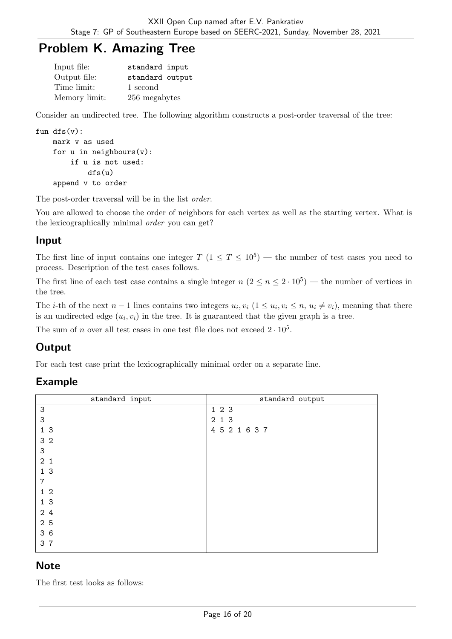# Problem K. Amazing Tree

| Input file:   | standard input  |
|---------------|-----------------|
| Output file:  | standard output |
| Time limit:   | 1 second        |
| Memory limit: | 256 megabytes   |

Consider an undirected tree. The following algorithm constructs a post-order traversal of the tree:

```
fun dfs(v):
```

```
mark v as used
for u in neighbours(v):
    if u is not used:
        dfs(u)
append v to order
```
The post-order traversal will be in the list order.

You are allowed to choose the order of neighbors for each vertex as well as the starting vertex. What is the lexicographically minimal order you can get?

#### Input

The first line of input contains one integer  $T$   $(1 \le T \le 10^5)$  — the number of test cases you need to process. Description of the test cases follows.

The first line of each test case contains a single integer  $n (2 \le n \le 2 \cdot 10^5)$  — the number of vertices in the tree.

The *i*-th of the next  $n-1$  lines contains two integers  $u_i, v_i$  ( $1 \le u_i, v_i \le n$ ,  $u_i \ne v_i$ ), meaning that there is an undirected edge  $(u_i, v_i)$  in the tree. It is guaranteed that the given graph is a tree.

The sum of *n* over all test cases in one test file does not exceed  $2 \cdot 10^5$ .

## **Output**

For each test case print the lexicographically minimal order on a separate line.

#### Example

| standard output |
|-----------------|
| 123             |
| 2 1 3           |
| 4 5 2 1 6 3 7   |
|                 |
|                 |
|                 |
|                 |
|                 |
|                 |
|                 |
|                 |
|                 |
|                 |
|                 |
|                 |

#### **Note**

The first test looks as follows: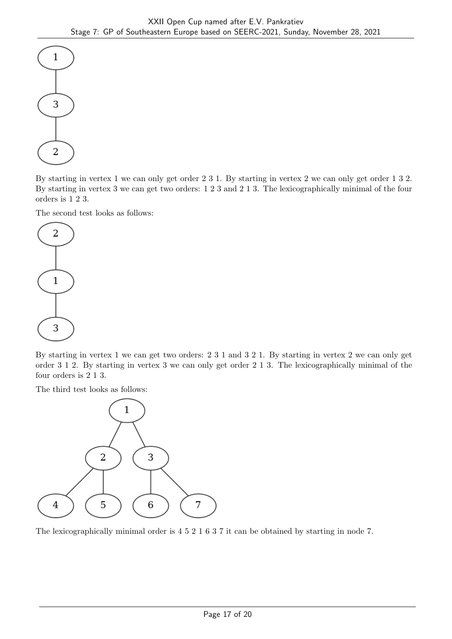

By starting in vertex 1 we can only get order 2 3 1. By starting in vertex 2 we can only get order 1 3 2. By starting in vertex 3 we can get two orders: 1 2 3 and 2 1 3. The lexicographically minimal of the four orders is 1 2 3.

The second test looks as follows:



By starting in vertex 1 we can get two orders: 2 3 1 and 3 2 1. By starting in vertex 2 we can only get order 3 1 2. By starting in vertex 3 we can only get order 2 1 3. The lexicographically minimal of the four orders is 2 1 3.

The third test looks as follows:



The lexicographically minimal order is 4 5 2 1 6 3 7 it can be obtained by starting in node 7.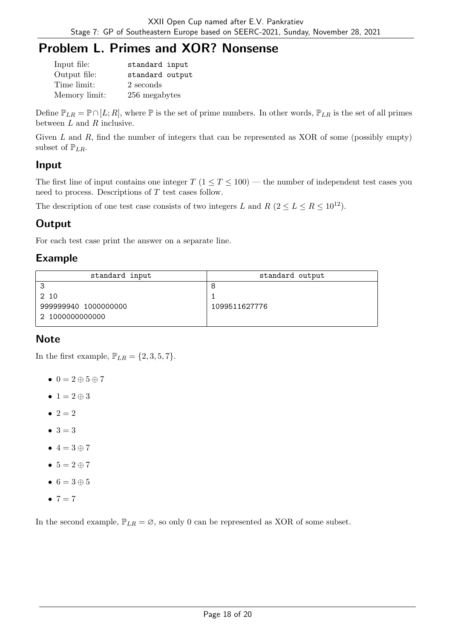# Problem L. Primes and XOR? Nonsense

| Input file:   | standard input  |
|---------------|-----------------|
| Output file:  | standard output |
| Time limit:   | 2 seconds       |
| Memory limit: | 256 megabytes   |

Define  $\mathbb{P}_{LR} = \mathbb{P} \cap [L; R]$ , where  $\mathbb P$  is the set of prime numbers. In other words,  $\mathbb{P}_{LR}$  is the set of all primes between  $L$  and  $R$  inclusive.

Given  $L$  and  $R$ , find the number of integers that can be represented as XOR of some (possibly empty) subset of  $\mathbb{P}_{LR}$ .

## Input

The first line of input contains one integer  $T$  ( $1 \le T \le 100$ ) — the number of independent test cases you need to process. Descriptions of  $T$  test cases follow.

The description of one test case consists of two integers L and R  $(2 \le L \le R \le 10^{12})$ .

# **Output**

For each test case print the answer on a separate line.

# Example

| standard input       | standard output |  |  |
|----------------------|-----------------|--|--|
| ີ                    |                 |  |  |
| 2 10                 |                 |  |  |
| 999999940 1000000000 | 1099511627776   |  |  |
| 2 1000000000000      |                 |  |  |

## **Note**

In the first example,  $\mathbb{P}_{LR} = \{2, 3, 5, 7\}.$ 

- $\bullet$  0 = 2  $\oplus$  5  $\oplus$  7
- $1 = 2 \oplus 3$
- $2 = 2$
- $3 = 3$
- $\bullet$  4 = 3  $\oplus$  7
- $5 = 2 \oplus 7$
- $6 = 3 \oplus 5$
- $7 = 7$

In the second example,  $\mathbb{P}_{LR} = \emptyset$ , so only 0 can be represented as XOR of some subset.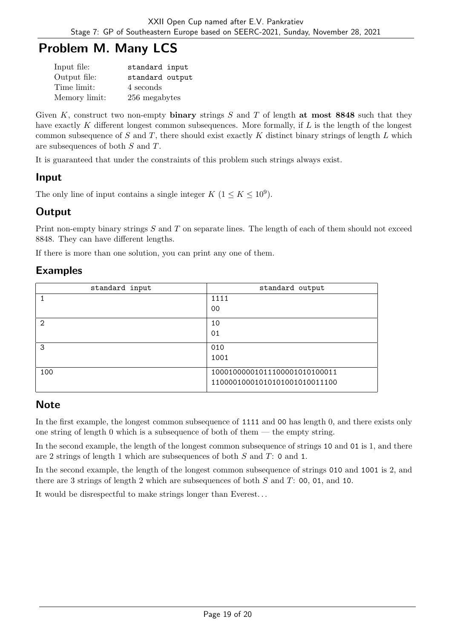# Problem M. Many LCS

| Input file:   | standard input  |
|---------------|-----------------|
| Output file:  | standard output |
| Time limit:   | 4 seconds       |
| Memory limit: | 256 megabytes   |

Given K, construct two non-empty binary strings  $S$  and  $T$  of length at most 8848 such that they have exactly  $K$  different longest common subsequences. More formally, if  $L$  is the length of the longest common subsequence of  $S$  and  $T$ , there should exist exactly  $K$  distinct binary strings of length  $L$  which are subsequences of both  $S$  and  $T$ .

It is guaranteed that under the constraints of this problem such strings always exist.

## Input

The only line of input contains a single integer  $K$   $(1 \leq K \leq 10^9)$ .

## **Output**

Print non-empty binary strings  $S$  and  $T$  on separate lines. The length of each of them should not exceed 8848. They can have different lengths.

If there is more than one solution, you can print any one of them.

#### Examples

| standard input | standard output               |  |
|----------------|-------------------------------|--|
|                | 1111                          |  |
|                | 00                            |  |
| $\mathfrak{D}$ | 10                            |  |
|                | 01                            |  |
| 3              | 010                           |  |
|                | 1001                          |  |
| 100            | 10001000001011100001010100011 |  |
|                | 11000010001010101001010011100 |  |

## **Note**

In the first example, the longest common subsequence of 1111 and 00 has length 0, and there exists only one string of length 0 which is a subsequence of both of them  $-$  the empty string.

In the second example, the length of the longest common subsequence of strings 10 and 01 is 1, and there are 2 strings of length 1 which are subsequences of both  $S$  and  $T$ : 0 and 1.

In the second example, the length of the longest common subsequence of strings 010 and 1001 is 2, and there are 3 strings of length 2 which are subsequences of both  $S$  and  $T: 00, 01,$  and 10.

It would be disrespectful to make strings longer than Everest. . .